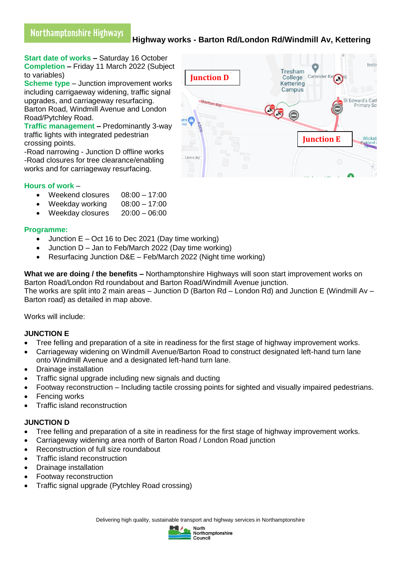# **Highway works - Barton Rd/London Rd/Windmill Av, Kettering**

**Start date of works –** Saturday 16 October **Completion –** Friday 11 March 2022 (Subject to variables)

**Scheme type** – Junction improvement works including carrigaeway widening, traffic signal upgrades, and carriageway resurfacing. Barton Road, Windmill Avenue and London Road/Pytchley Road.

**Traffic management –** Predominantly 3-way traffic lights with integrated pedestrian crossing points.

-Road narrowing - Junction D offline works -Road closures for tree clearance/enabling works and for carriageway resurfacing.

# **Hours of work** –

- Weekend closures 08:00 17:00
- Weekday working 08:00 17:00
- Weekday closures 20:00 06:00

## **Programme:**

- Junction  $E Oct 16$  to Dec 2021 (Day time working)
- Junction D Jan to Feb/March 2022 (Day time working)
- Resurfacing Junction D&E Feb/March 2022 (Night time working)

**What we are doing / the benefits –** Northamptonshire Highways will soon start improvement works on Barton Road/London Rd roundabout and Barton Road/Windmill Avenue junction.

The works are split into 2 main areas – Junction D (Barton Rd – London Rd) and Junction E (Windmill Av – Barton road) as detailed in map above.

Works will include:

## **JUNCTION E**

- Tree felling and preparation of a site in readiness for the first stage of highway improvement works.
- Carriageway widening on Windmill Avenue/Barton Road to construct designated left-hand turn lane onto Windmill Avenue and a designated left-hand turn lane.
- Drainage installation
- Traffic signal upgrade including new signals and ducting
- Footway reconstruction Including tactile crossing points for sighted and visually impaired pedestrians.
- Fencing works
- Traffic island reconstruction

# **JUNCTION D**

- Tree felling and preparation of a site in readiness for the first stage of highway improvement works.
- Carriageway widening area north of Barton Road / London Road junction
- Reconstruction of full size roundabout
- Traffic island reconstruction
- Drainage installation
- Footway reconstruction
- Traffic signal upgrade (Pytchley Road crossing)

Delivering high quality, sustainable transport and highway services in Northamptonshire



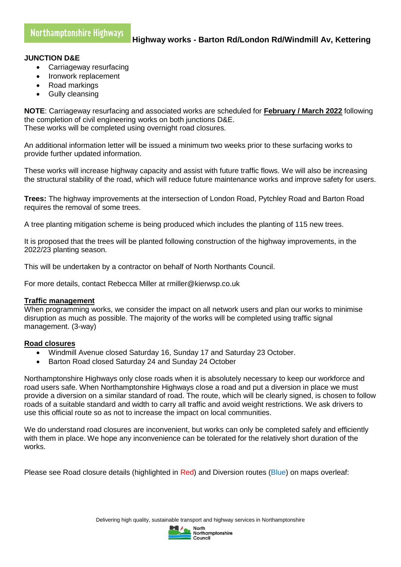### **JUNCTION D&E**

- Carriageway resurfacing
- Ironwork replacement
- Road markings
- Gully cleansing

**NOTE**: Carriageway resurfacing and associated works are scheduled for **February / March 2022** following the completion of civil engineering works on both junctions D&E. These works will be completed using overnight road closures.

An additional information letter will be issued a minimum two weeks prior to these surfacing works to provide further updated information.

These works will increase highway capacity and assist with future traffic flows. We will also be increasing the structural stability of the road, which will reduce future maintenance works and improve safety for users.

**Trees:** The highway improvements at the intersection of London Road, Pytchley Road and Barton Road requires the removal of some trees.

A tree planting mitigation scheme is being produced which includes the planting of 115 new trees.

It is proposed that the trees will be planted following construction of the highway improvements, in the 2022/23 planting season.

This will be undertaken by a contractor on behalf of North Northants Council.

For more details, contact Rebecca Miller at rmiller@kierwsp.co.uk

#### **Traffic management**

When programming works, we consider the impact on all network users and plan our works to minimise disruption as much as possible. The majority of the works will be completed using traffic signal management. (3-way)

## **Road closures**

- Windmill Avenue closed Saturday 16, Sunday 17 and Saturday 23 October.
- Barton Road closed Saturday 24 and Sunday 24 October

Northamptonshire Highways only close roads when it is absolutely necessary to keep our workforce and road users safe. When Northamptonshire Highways close a road and put a diversion in place we must provide a diversion on a similar standard of road. The route, which will be clearly signed, is chosen to follow roads of a suitable standard and width to carry all traffic and avoid weight restrictions. We ask drivers to use this official route so as not to increase the impact on local communities.

We do understand road closures are inconvenient, but works can only be completed safely and efficiently with them in place. We hope any inconvenience can be tolerated for the relatively short duration of the works.

Please see Road closure details (highlighted in Red) and Diversion routes (Blue) on maps overleaf: